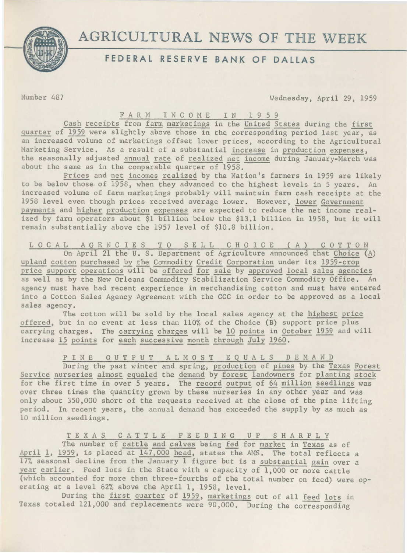

# AGRICULTURAL NEWS OF THE WEEK

## **FEDERAL RESERVE BANK OF DALLAS**

Number 487 Wednesday, April 29, 1959

### FARM INCOME IN 1959

Cash receipts from farm marketings in the United States during the first quarter of 1959 were slightly above those in the corresponding period last year, as an increased volume of marketings offset lower prices, according to the Agricultural Marketing Service. As a result of a substantial increase in production expenses, the seasonally adjusted annual rate of realized net income during January-March was about the same as in the comparable quarter of 1958.

Prices and net incomes realized by the Nation's farmers in 1959 are likely to be below those of 1958, when they advanced to the highest levels in 5 years. An increased volume of farm marketings probably will maintain farm cash receipts at the 1958 level even though prices received average lower. However, lower Government payments and higher production expenses are expected to reduce the net income realized by farm operators about \$1 billion below the \$13.l billion in 1958, but it will remain substantially above the 1957 level of \$10.8 billion,

LOCAL AGENCIES TO SELL CHOICE (A) COTTON On April 21 the U. S. Department of Agriculture announced that Choice  $(A)$ upland cotton purchased by the Commodity Credit Corporation under its 1959-crop price support operations will be offered for sale by approved local sales agencies as well as by the New Orleans Commodity Stabilization Service Commodity Office. An agency must have had recent experience in merchandising cotton and must have entered into a Cotton Sales Agency Agreement with the CCC in order to be approved as a local sales agency.

The cotton will be sold by the local sales agency at the highest price offered, but in no event at less than 110% of the Choice (B) support price plus carrying charges. The carrying charges will be 10 points in October 1959 and will increase 15 points for each successive month through July 1960.

P I N E O U T P U T A L M O S T E Q U A L S D E M A N D During the past winter and spring, production of pines by the Texas Forest Service nurseries almost equaled the demand by forest landowners for planting stock for the first time in over 5 years. The record output of 64 million seedlings was over three times the quantity grown by these nurseries in any other year and was only about 350,000 short of the requests received at the close of the pine lifting period. In recent years, the annual demand has exceeded the supply by as much as 10 million seedlings.

T E X A S C *A* T T L E F E E D I N G u p S H A R P L Y The number of cattle and calves being fed for market in Texas as of April 1, 1959, is placed at 147,000 head, states the AMS. The total reflects a 17% seasonal decline from the January 1 figure but is a substantial gain over a year earlier. Feed lots in the State with a capacity of  $1,000$  or more cattle (which accounted for more than three-fourths of the total number on feed) were operating at a level 62% above the April 1, 1958, level.

During the first quarter of 1959, marketings out of all feed lots in Texas totaled 121,000 and replacements were 90,000. During the corresponding